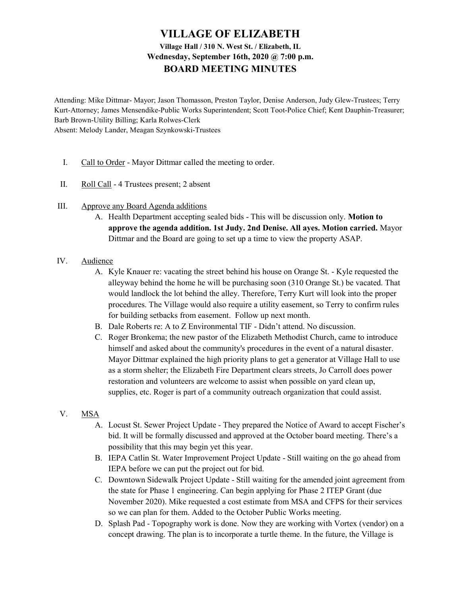# VILLAGE OF ELIZABETH Village Hall / 310 N. West St. / Elizabeth, IL Wednesday, September 16th, 2020 @ 7:00 p.m. BOARD MEETING MINUTES

Attending: Mike Dittmar- Mayor; Jason Thomasson, Preston Taylor, Denise Anderson, Judy Glew-Trustees; Terry Kurt-Attorney; James Mensendike-Public Works Superintendent; Scott Toot-Police Chief; Kent Dauphin-Treasurer; Barb Brown-Utility Billing; Karla Rolwes-Clerk Absent: Melody Lander, Meagan Szynkowski-Trustees

- I. Call to Order Mayor Dittmar called the meeting to order.
- II. Roll Call 4 Trustees present; 2 absent
- III. Approve any Board Agenda additions
	- A. Health Department accepting sealed bids This will be discussion only. Motion to approve the agenda addition. 1st Judy. 2nd Denise. All ayes. Motion carried. Mayor Dittmar and the Board are going to set up a time to view the property ASAP.
- IV. Audience
	- A. Kyle Knauer re: vacating the street behind his house on Orange St. Kyle requested the alleyway behind the home he will be purchasing soon (310 Orange St.) be vacated. That would landlock the lot behind the alley. Therefore, Terry Kurt will look into the proper procedures. The Village would also require a utility easement, so Terry to confirm rules for building setbacks from easement. Follow up next month.
	- B. Dale Roberts re: A to Z Environmental TIF Didn't attend. No discussion.
	- C. Roger Bronkema; the new pastor of the Elizabeth Methodist Church, came to introduce himself and asked about the community's procedures in the event of a natural disaster. Mayor Dittmar explained the high priority plans to get a generator at Village Hall to use as a storm shelter; the Elizabeth Fire Department clears streets, Jo Carroll does power restoration and volunteers are welcome to assist when possible on yard clean up, supplies, etc. Roger is part of a community outreach organization that could assist.
- V. MSA
	- A. Locust St. Sewer Project Update They prepared the Notice of Award to accept Fischer's bid. It will be formally discussed and approved at the October board meeting. There's a possibility that this may begin yet this year.
	- B. IEPA Catlin St. Water Improvement Project Update Still waiting on the go ahead from IEPA before we can put the project out for bid.
	- C. Downtown Sidewalk Project Update Still waiting for the amended joint agreement from the state for Phase 1 engineering. Can begin applying for Phase 2 ITEP Grant (due November 2020). Mike requested a cost estimate from MSA and CFPS for their services so we can plan for them. Added to the October Public Works meeting.
	- D. Splash Pad Topography work is done. Now they are working with Vortex (vendor) on a concept drawing. The plan is to incorporate a turtle theme. In the future, the Village is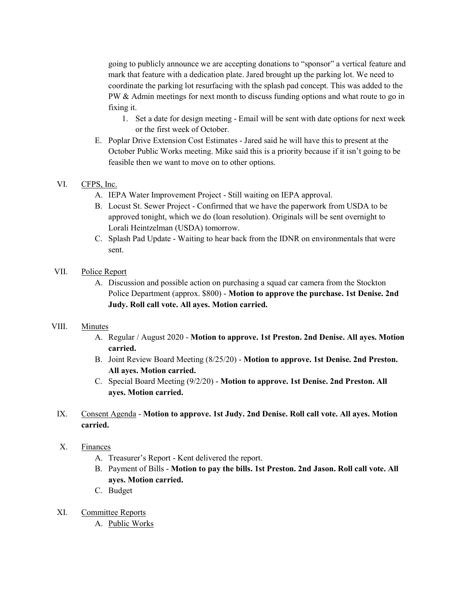going to publicly announce we are accepting donations to "sponsor" a vertical feature and mark that feature with a dedication plate. Jared brought up the parking lot. We need to coordinate the parking lot resurfacing with the splash pad concept. This was added to the PW & Admin meetings for next month to discuss funding options and what route to go in fixing it.

- 1. Set a date for design meeting Email will be sent with date options for next week or the first week of October.
- E. Poplar Drive Extension Cost Estimates Jared said he will have this to present at the October Public Works meeting. Mike said this is a priority because if it isn't going to be feasible then we want to move on to other options.

#### VI. CFPS, Inc.

- A. IEPA Water Improvement Project Still waiting on IEPA approval.
- B. Locust St. Sewer Project Confirmed that we have the paperwork from USDA to be approved tonight, which we do (loan resolution). Originals will be sent overnight to Lorali Heintzelman (USDA) tomorrow.
- C. Splash Pad Update Waiting to hear back from the IDNR on environmentals that were sent.

#### VII. Police Report

A. Discussion and possible action on purchasing a squad car camera from the Stockton Police Department (approx. \$800) - Motion to approve the purchase. 1st Denise. 2nd Judy. Roll call vote. All ayes. Motion carried.

#### VIII. Minutes

- A. Regular / August 2020 Motion to approve. 1st Preston. 2nd Denise. All ayes. Motion carried.
- B. Joint Review Board Meeting (8/25/20) Motion to approve. 1st Denise. 2nd Preston. All ayes. Motion carried.
- C. Special Board Meeting (9/2/20) Motion to approve. 1st Denise. 2nd Preston. All ayes. Motion carried.
- IX. Consent Agenda Motion to approve. 1st Judy. 2nd Denise. Roll call vote. All ayes. Motion carried.

### X. Finances

- A. Treasurer's Report Kent delivered the report.
- B. Payment of Bills Motion to pay the bills. 1st Preston. 2nd Jason. Roll call vote. All ayes. Motion carried.
- C. Budget
- XI. Committee Reports
	- A. Public Works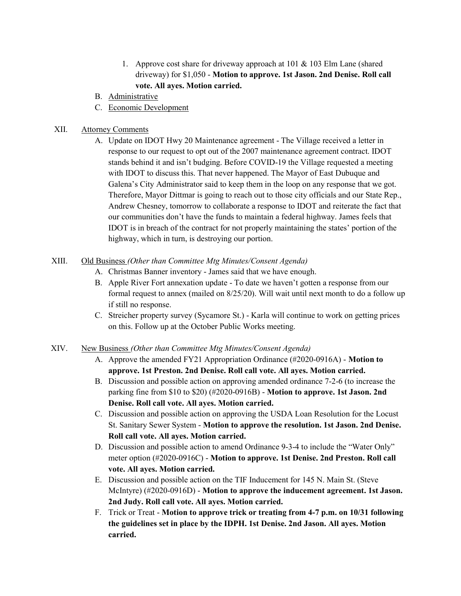- 1. Approve cost share for driveway approach at 101 & 103 Elm Lane (shared driveway) for \$1,050 - Motion to approve. 1st Jason. 2nd Denise. Roll call vote. All ayes. Motion carried.
- B. Administrative
- C. Economic Development

### XII. Attorney Comments

A. Update on IDOT Hwy 20 Maintenance agreement - The Village received a letter in response to our request to opt out of the 2007 maintenance agreement contract. IDOT stands behind it and isn't budging. Before COVID-19 the Village requested a meeting with IDOT to discuss this. That never happened. The Mayor of East Dubuque and Galena's City Administrator said to keep them in the loop on any response that we got. Therefore, Mayor Dittmar is going to reach out to those city officials and our State Rep., Andrew Chesney, tomorrow to collaborate a response to IDOT and reiterate the fact that our communities don't have the funds to maintain a federal highway. James feels that IDOT is in breach of the contract for not properly maintaining the states' portion of the highway, which in turn, is destroying our portion.

## XIII. Old Business (Other than Committee Mtg Minutes/Consent Agenda)

- A. Christmas Banner inventory James said that we have enough.
- B. Apple River Fort annexation update To date we haven't gotten a response from our formal request to annex (mailed on 8/25/20). Will wait until next month to do a follow up if still no response.
- C. Streicher property survey (Sycamore St.) Karla will continue to work on getting prices on this. Follow up at the October Public Works meeting.

#### XIV. New Business (Other than Committee Mtg Minutes/Consent Agenda)

- A. Approve the amended FY21 Appropriation Ordinance (#2020-0916A) Motion to approve. 1st Preston. 2nd Denise. Roll call vote. All ayes. Motion carried.
- B. Discussion and possible action on approving amended ordinance 7-2-6 (to increase the parking fine from \$10 to \$20) (#2020-0916B) - Motion to approve. 1st Jason. 2nd Denise. Roll call vote. All ayes. Motion carried.
- C. Discussion and possible action on approving the USDA Loan Resolution for the Locust St. Sanitary Sewer System - Motion to approve the resolution. 1st Jason. 2nd Denise. Roll call vote. All ayes. Motion carried.
- D. Discussion and possible action to amend Ordinance 9-3-4 to include the "Water Only" meter option (#2020-0916C) - Motion to approve. 1st Denise. 2nd Preston. Roll call vote. All ayes. Motion carried.
- E. Discussion and possible action on the TIF Inducement for 145 N. Main St. (Steve McIntyre) (#2020-0916D) - Motion to approve the inducement agreement. 1st Jason. 2nd Judy. Roll call vote. All ayes. Motion carried.
- F. Trick or Treat Motion to approve trick or treating from 4-7 p.m. on 10/31 following the guidelines set in place by the IDPH. 1st Denise. 2nd Jason. All ayes. Motion carried.